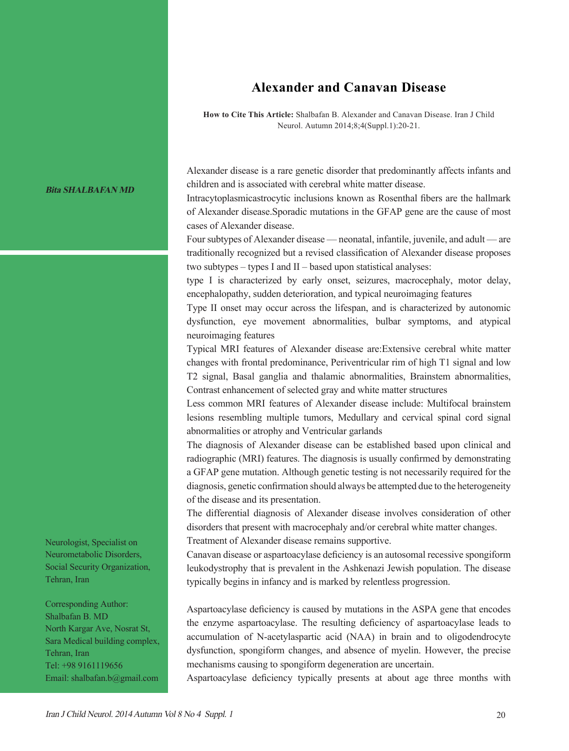## **Alexander and Canavan Disease**

**How to Cite This Article:** Shalbafan B. Alexander and Canavan Disease. Iran J Child Neurol. Autumn 2014;8;4(Suppl.1):20-21.

## **Bita SHALBAFAN MD**

Neurologist, Specialist on Neurometabolic Disorders, Social Security Organization, Tehran, Iran

Corresponding Author: Shalbafan B. MD North Kargar Ave, Nosrat St, Sara Medical building complex, Tehran, Iran Tel: +98 9161119656 Email: shalbafan.b@gmail.com Alexander disease is a rare genetic disorder that predominantly affects infants and children and is associated with cerebral white matter disease.

Intracytoplasmicastrocytic inclusions known as Rosenthal fibers are the hallmark of Alexander disease.Sporadic mutations in the GFAP gene are the cause of most cases of Alexander disease.

Four subtypes of Alexander disease — neonatal, infantile, juvenile, and adult — are traditionally recognized but a revised classification of Alexander disease proposes two subtypes – types I and II – based upon statistical analyses:

type I is characterized by early onset, seizures, macrocephaly, motor delay, encephalopathy, sudden deterioration, and typical neuroimaging features

Type II onset may occur across the lifespan, and is characterized by autonomic dysfunction, eye movement abnormalities, bulbar symptoms, and atypical neuroimaging features

Typical MRI features of Alexander disease are:Extensive cerebral white matter changes with frontal predominance, Periventricular rim of high T1 signal and low T2 signal, Basal ganglia and thalamic abnormalities, Brainstem abnormalities, Contrast enhancement of selected gray and white matter structures

Less common MRI features of Alexander disease include: Multifocal brainstem lesions resembling multiple tumors, Medullary and cervical spinal cord signal abnormalities or atrophy and Ventricular garlands

The diagnosis of Alexander disease can be established based upon clinical and radiographic (MRI) features. The diagnosis is usually confirmed by demonstrating a GFAP gene mutation. Although genetic testing is not necessarily required for the diagnosis, genetic confirmation should always be attempted due to the heterogeneity of the disease and its presentation.

The differential diagnosis of Alexander disease involves consideration of other disorders that present with macrocephaly and/or cerebral white matter changes.

Treatment of Alexander disease remains supportive.

Canavan disease or aspartoacylase deficiency is an autosomal recessive spongiform leukodystrophy that is prevalent in the Ashkenazi Jewish population. The disease typically begins in infancy and is marked by relentless progression.

Aspartoacylase deficiency is caused by mutations in the ASPA gene that encodes the enzyme aspartoacylase. The resulting deficiency of aspartoacylase leads to accumulation of N-acetylaspartic acid (NAA) in brain and to oligodendrocyte dysfunction, spongiform changes, and absence of myelin. However, the precise mechanisms causing to spongiform degeneration are uncertain.

Aspartoacylase deficiency typically presents at about age three months with